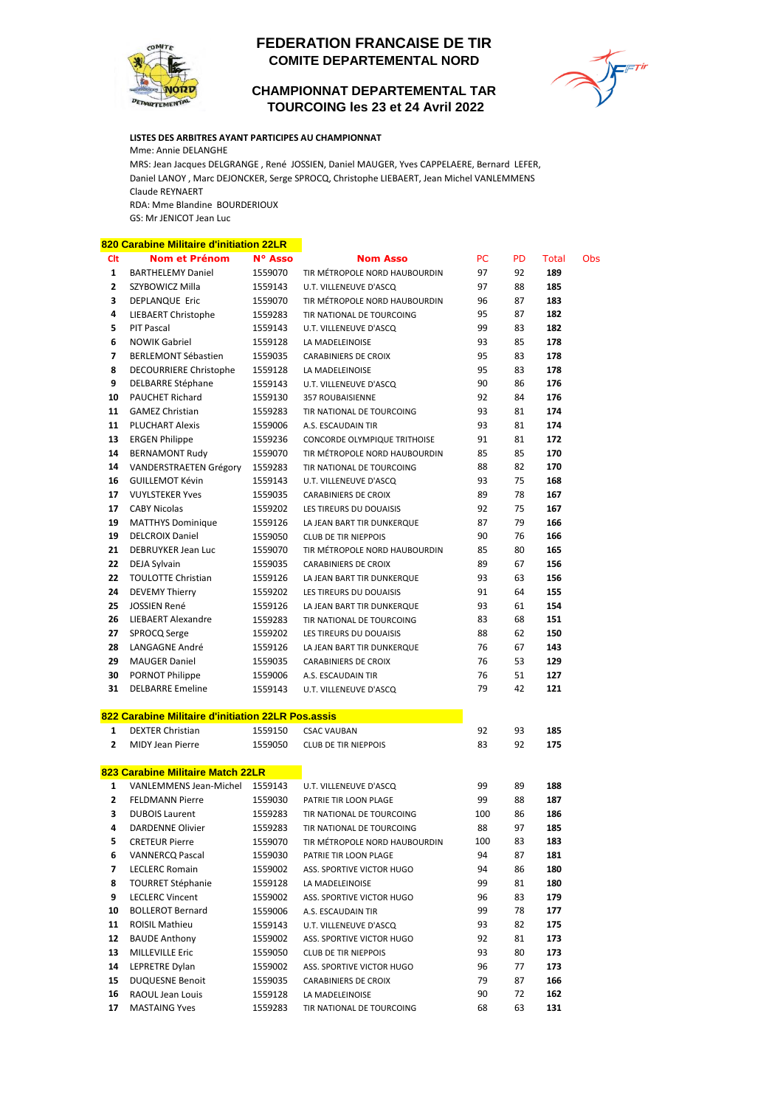

## **COMITE DEPARTEMENTAL NORD FEDERATION FRANCAISE DE TIR**

 **TOURCOING les 23 et 24 Avril 2022 CHAMPIONNAT DEPARTEMENTAL TAR**



## **LISTES DES ARBITRES AYANT PARTICIPES AU CHAMPIONNAT**

Mme: Annie DELANGHE

MRS: Jean Jacques DELGRANGE , René JOSSIEN, Daniel MAUGER, Yves CAPPELAERE, Bernard LEFER, Daniel LANOY , Marc DEJONCKER, Serge SPROCQ, Christophe LIEBAERT, Jean Michel VANLEMMENS Claude REYNAERT

RDA: Mme Blandine BOURDERIOUX

GS: Mr JENICOT Jean Luc

## **820 Carabine Militaire d'initiation 22LR Clt Nom et Prénom N° Asso Nom Asso** PC PD Total Obs 3453841 BARTHELEMY Daniel 1559070 TIR MÉTROPOLE NORD HAUBOURDIN 97 92 **189** 82543079 SZYBOWICZ Milla 1559143 U.T. VILLENEUVE D'ASCQ 97 88 **185 DEPLANQUE Eric** 1559070 TIR MÉTROPOLE NORD HAUBOURDIN 96 87 183 2517322 LIEBAERT Christophe 1559283 TIR NATIONAL DE TOURCOING 95 87 **182** 82693542 PIT Pascal 1559143 U.T. VILLENEUVE D'ASCQ 99 83 **182** 82502734 NOWIK Gabriel 1559128 LA MADELEINOISE 93 85 **178** 3347296 BERLEMONT Sébastien 1559035 CARABINIERS DE CROIX 95 83 **178** 8 DECOURRIERE Christophe 1559128 LA MADELEINOISE 95 83 178 82756926 DELBARRE Stéphane 1559143 U.T. VILLENEUVE D'ASCQ 90 86 **176** 625275 PAUCHET Richard 1559130 357 ROUBAISIENNE 92 84 **176** 82587961 GAMEZ Christian 1559283 TIR NATIONAL DE TOURCOING 93 81 **174** 82538474 PLUCHART Alexis 1559006 A.S. ESCAUDAIN TIR 93 81 **174** 3260504 ERGEN Philippe 1559236 CONCORDE OLYMPIQUE TRITHOISE 91 81 **172** BERNAMONT Rudy 1559070 TIR MÉTROPOLE NORD HAUBOURDIN 85 85 170 03111335 VANDERSTRAETEN Grégory 1559283 TIR NATIONAL DE TOURCOING 88 82 **170** 82730577 GUILLEMOT Kévin 1559143 U.T. VILLENEUVE D'ASCQ 93 75 **168** 82620764 VUYLSTEKER Yves 1559035 CARABINIERS DE CROIX 89 78 **167** 82834971 CABY Nicolas 1559202 LES TIREURS DU DOUAISIS 92 75 **167** 82527237 MATTHYS Dominique 1559126 LA JEAN BART TIR DUNKERQUE 87 79 **166** 755765 DELCROIX Daniel 1559050 CLUB DE TIR NIEPPOIS 90 76 **166 21 DEBRUYKER Jean Luc 1559070 TIR MÉTROPOLE NORD HAUBOURDIN 85 80 165**  DEJA Sylvain **1559035** CARABINIERS DE CROIX 89 67 **156 TOULOTTE Christian 1559126** LA JEAN BART TIR DUNKERQUE 93 63 **156 DEVEMY Thierry** 1559202 LES TIREURS DU DOUAISIS 91 64 **155**  JOSSIEN René 1559126 LA JEAN BART TIR DUNKERQUE 93 61 **154** LIEBAERT Alexandre 1559283 TIR NATIONAL DE TOURCOING 83 68 151 SPROCQ Serge 1559202 LES TIREURS DU DOUAISIS 88 62 **150** LANGAGNE André 1559126 LA JEAN BART TIR DUNKERQUE 76 67 **143** 3347110 MAUGER Daniel 1559035 CARABINIERS DE CROIX 76 53 **129** PORNOT Philippe 1559006 A.S. ESCAUDAIN TIR 76 51 **127** DELBARRE Emeline 1559143 U.T. VILLENEUVE D'ASCQ 79 42 121 **822 Carabine Militaire d'initiation 22LR Pos.assis** 2714851 DEXTER Christian 1559150 CSAC VAUBAN 92 93 **185 210412 MIDY Jean Pierre** 1559050 CLUB DE TIR NIEPPOIS 83 92 **175 823 Carabine Militaire Match 22LR**  VANLEMMENS Jean-Michel 1559143 U.T. VILLENEUVE D'ASCQ 99 89 **188** FELDMANN Pierre 1559030 PATRIE TIR LOON PLAGE 99 88 **187** DUBOIS Laurent 1559283 TIR NATIONAL DE TOURCOING 100 86 186 3347244 DARDENNE Olivier 1559283 TIR NATIONAL DE TOURCOING 88 97 **185** CRETEUR Pierre 1559070 TIR MÉTROPOLE NORD HAUBOURDIN 100 83 **183** 2391561 VANNERCQ Pascal 1559030 PATRIE TIR LOON PLAGE 94 87 **181** LECLERC Romain **1559002** ASS. SPORTIVE VICTOR HUGO 94 86 **180**  82635796 TOURRET Stéphanie 1559128 LA MADELEINOISE 99 81 **180** LECLERC Vincent 1559002 ASS. SPORTIVE VICTOR HUGO 96 83 179 03344536 BOLLEROT Bernard 1559006 A.S. ESCAUDAIN TIR 99 78 **177** 82613037 ROISIL Mathieu 1559143 U.T. VILLENEUVE D'ASCQ 93 82 **175** 82577537 BAUDE Anthony 1559002 ASS. SPORTIVE VICTOR HUGO 92 81 **173** 3381961 MILLEVILLE Eric 1559050 CLUB DE TIR NIEPPOIS 93 80 **173** LEPRETRE Dylan 1559002 ASS. SPORTIVE VICTOR HUGO 96 77 173 82660179 DUQUESNE Benoit 1559035 CARABINIERS DE CROIX 79 87 **166**

 82578908 RAOUL Jean Louis 1559128 LA MADELEINOISE 90 72 **162** MASTAING Yves **1559283** TIR NATIONAL DE TOURCOING 68 63 **131**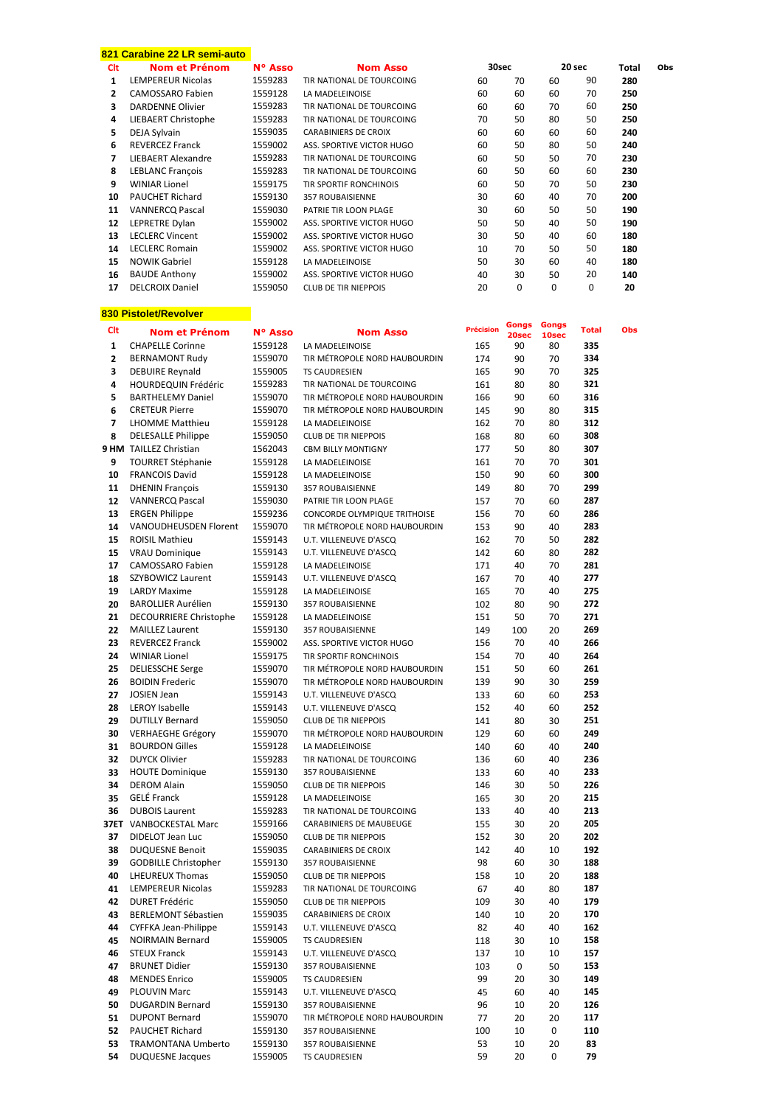|              | 821 Carabine 22 LR semi-auto |         |                                     |                  |             |       |              |       |     |
|--------------|------------------------------|---------|-------------------------------------|------------------|-------------|-------|--------------|-------|-----|
| Clt          | Nom et Prénom                | N° Asso | <b>Nom Asso</b>                     | 30sec            |             |       | 20 sec       | Total | Obs |
| $\mathbf{1}$ | LEMPEREUR Nicolas            | 1559283 | TIR NATIONAL DE TOURCOING           | 60               | 70          | 60    | 90           | 280   |     |
| $\mathbf{2}$ | <b>CAMOSSARO Fabien</b>      | 1559128 | LA MADELEINOISE                     | 60               | 60          | 60    | 70           | 250   |     |
| 3            | <b>DARDENNE Olivier</b>      | 1559283 | TIR NATIONAL DE TOURCOING           | 60               | 60          | 70    | 60           | 250   |     |
| 4            |                              | 1559283 | TIR NATIONAL DE TOURCOING           |                  |             | 80    | 50           | 250   |     |
|              | LIEBAERT Christophe          |         |                                     | 70               | 50          |       |              |       |     |
| 5            | DEJA Sylvain                 | 1559035 | <b>CARABINIERS DE CROIX</b>         | 60               | 60          | 60    | 60           | 240   |     |
| 6            | <b>REVERCEZ Franck</b>       | 1559002 | ASS. SPORTIVE VICTOR HUGO           | 60               | 50          | 80    | 50           | 240   |     |
| 7            | LIEBAERT Alexandre           | 1559283 | TIR NATIONAL DE TOURCOING           | 60               | 50          | 50    | 70           | 230   |     |
| 8            | <b>LEBLANC François</b>      | 1559283 | TIR NATIONAL DE TOURCOING           | 60               | 50          | 60    | 60           | 230   |     |
| 9            | <b>WINIAR Lionel</b>         | 1559175 | TIR SPORTIF RONCHINOIS              | 60               | 50          | 70    | 50           | 230   |     |
| 10           | <b>PAUCHET Richard</b>       | 1559130 | <b>357 ROUBAISIENNE</b>             | 30               | 60          | 40    | 70           | 200   |     |
|              | <b>VANNERCO Pascal</b>       |         |                                     |                  |             |       |              |       |     |
| 11           |                              | 1559030 | PATRIE TIR LOON PLAGE               | 30               | 60          | 50    | 50           | 190   |     |
| 12           | LEPRETRE Dylan               | 1559002 | ASS. SPORTIVE VICTOR HUGO           | 50               | 50          | 40    | 50           | 190   |     |
| 13           | <b>LECLERC Vincent</b>       | 1559002 | ASS. SPORTIVE VICTOR HUGO           | 30               | 50          | 40    | 60           | 180   |     |
| 14           | <b>LECLERC Romain</b>        | 1559002 | ASS. SPORTIVE VICTOR HUGO           | 10               | 70          | 50    | 50           | 180   |     |
| 15           | <b>NOWIK Gabriel</b>         | 1559128 | LA MADELEINOISE                     | 50               | 30          | 60    | 40           | 180   |     |
| 16           | <b>BAUDE Anthony</b>         | 1559002 | ASS. SPORTIVE VICTOR HUGO           | 40               | 30          | 50    | 20           | 140   |     |
| 17           | <b>DELCROIX Daniel</b>       | 1559050 | <b>CLUB DE TIR NIEPPOIS</b>         | 20               | 0           | 0     | 0            | 20    |     |
|              |                              |         |                                     |                  |             |       |              |       |     |
|              |                              |         |                                     |                  |             |       |              |       |     |
|              | 830 Pistolet/Revolver        |         |                                     |                  |             |       |              |       |     |
| Clt          | <b>Nom et Prénom</b>         | N° Asso | <b>Nom Asso</b>                     | <b>Précision</b> | Gongs       | Gongs | <b>Total</b> | Obs   |     |
|              | <b>CHAPELLE Corinne</b>      | 1559128 | LA MADELEINOISE                     |                  | 20sec<br>90 | 10sec | 335          |       |     |
| 1            |                              |         |                                     | 165              |             | 80    |              |       |     |
| $\mathbf{2}$ | <b>BERNAMONT Rudy</b>        | 1559070 | TIR MÉTROPOLE NORD HAUBOURDIN       | 174              | 90          | 70    | 334          |       |     |
| 3            | <b>DEBUIRE Reynald</b>       | 1559005 | <b>TS CAUDRESIEN</b>                | 165              | 90          | 70    | 325          |       |     |
| 4            | <b>HOURDEQUIN Frédéric</b>   | 1559283 | TIR NATIONAL DE TOURCOING           | 161              | 80          | 80    | 321          |       |     |
| 5            | <b>BARTHELEMY Daniel</b>     | 1559070 | TIR MÉTROPOLE NORD HAUBOURDIN       | 166              | 90          | 60    | 316          |       |     |
| 6            | <b>CRETEUR Pierre</b>        | 1559070 | TIR MÉTROPOLE NORD HAUBOURDIN       | 145              | 90          | 80    | 315          |       |     |
| 7            | <b>LHOMME Matthieu</b>       | 1559128 | LA MADELEINOISE                     | 162              | 70          | 80    | 312          |       |     |
|              |                              |         |                                     |                  |             |       |              |       |     |
| 8            | DELESALLE Philippe           | 1559050 | <b>CLUB DE TIR NIEPPOIS</b>         | 168              | 80          | 60    | 308          |       |     |
|              | 9 HM TAILLEZ Christian       | 1562043 | <b>CBM BILLY MONTIGNY</b>           | 177              | 50          | 80    | 307          |       |     |
| 9            | <b>TOURRET Stéphanie</b>     | 1559128 | LA MADELEINOISE                     | 161              | 70          | 70    | 301          |       |     |
| 10           | <b>FRANCOIS David</b>        | 1559128 | LA MADELEINOISE                     | 150              | 90          | 60    | 300          |       |     |
| 11           | <b>DHENIN François</b>       | 1559130 | 357 ROUBAISIENNE                    | 149              | 80          | 70    | 299          |       |     |
| 12           | <b>VANNERCQ Pascal</b>       | 1559030 | PATRIE TIR LOON PLAGE               | 157              | 70          | 60    | 287          |       |     |
| 13           | <b>ERGEN Philippe</b>        | 1559236 | <b>CONCORDE OLYMPIQUE TRITHOISE</b> | 156              | 70          | 60    | 286          |       |     |
|              |                              |         |                                     |                  |             |       |              |       |     |
| 14           | VANOUDHEUSDEN Florent        | 1559070 | TIR MÉTROPOLE NORD HAUBOURDIN       | 153              | 90          | 40    | 283          |       |     |
| 15           | <b>ROISIL Mathieu</b>        | 1559143 | U.T. VILLENEUVE D'ASCQ              | 162              | 70          | 50    | 282          |       |     |
| 15           | <b>VRAU Dominique</b>        | 1559143 | U.T. VILLENEUVE D'ASCQ              | 142              | 60          | 80    | 282          |       |     |
| 17           | CAMOSSARO Fabien             | 1559128 | LA MADELEINOISE                     | 171              | 40          | 70    | 281          |       |     |
| 18           | SZYBOWICZ Laurent            | 1559143 | U.T. VILLENEUVE D'ASCQ              | 167              | 70          | 40    | 277          |       |     |
| 19           | <b>LARDY Maxime</b>          | 1559128 | LA MADELEINOISE                     | 165              | 70          | 40    | 275          |       |     |
| 20           | <b>BAROLLIER Aurélien</b>    | 1559130 | <b>357 ROUBAISIENNE</b>             | 102              | 80          | 90    | 272          |       |     |
|              |                              |         |                                     |                  |             |       |              |       |     |
| 21           | DECOURRIERE Christophe       | 1559128 | LA MADELEINOISE                     | 151              | 50          | 70    | 271          |       |     |
| 22           | <b>MAILLEZ Laurent</b>       | 1559130 | <b>357 ROUBAISIENNE</b>             | 149              | 100         | 20    | 269          |       |     |
| 23           | REVERCEZ Franck              | 1559002 | ASS. SPORTIVE VICTOR HUGO           | 156              | 70          | 40    | 266          |       |     |
| 24           | <b>WINIAR Lionel</b>         | 1559175 | TIR SPORTIF RONCHINOIS              | 154              | 70          | 40    | 264          |       |     |
| 25           | <b>DELIESSCHE Serge</b>      | 1559070 | TIR MÉTROPOLE NORD HAUBOURDIN       | 151              | 50          | 60    | 261          |       |     |
| 26           | <b>BOIDIN Frederic</b>       | 1559070 | TIR MÉTROPOLE NORD HAUBOURDIN       | 139              | 90          | 30    | 259          |       |     |
| 27           | <b>JOSIEN Jean</b>           | 1559143 | U.T. VILLENEUVE D'ASCQ              | 133              | 60          | 60    | 253          |       |     |
|              |                              |         |                                     |                  |             |       |              |       |     |
| 28           | LEROY Isabelle               | 1559143 | U.T. VILLENEUVE D'ASCQ              | 152              | 40          | 60    | 252          |       |     |
| 29           | <b>DUTILLY Bernard</b>       | 1559050 | CLUB DE TIR NIEPPOIS                | 141              | 80          | 30    | 251          |       |     |
| 30           | <b>VERHAEGHE Grégory</b>     | 1559070 | TIR MÉTROPOLE NORD HAUBOURDIN       | 129              | 60          | 60    | 249          |       |     |
| 31           | <b>BOURDON Gilles</b>        | 1559128 | LA MADELEINOISE                     | 140              | 60          | 40    | 240          |       |     |
| 32           | <b>DUYCK Olivier</b>         | 1559283 | TIR NATIONAL DE TOURCOING           | 136              | 60          | 40    | 236          |       |     |
| 33           | <b>HOUTE Dominique</b>       | 1559130 | 357 ROUBAISIENNE                    | 133              | 60          | 40    | 233          |       |     |
| 34           | <b>DEROM Alain</b>           | 1559050 | <b>CLUB DE TIR NIEPPOIS</b>         | 146              | 30          | 50    | 226          |       |     |
| 35           | GELÉ Franck                  | 1559128 | LA MADELEINOISE                     | 165              | 30          | 20    | 215          |       |     |
|              |                              |         |                                     |                  |             |       |              |       |     |
| 36           | <b>DUBOIS Laurent</b>        | 1559283 | TIR NATIONAL DE TOURCOING           | 133              | 40          | 40    | 213          |       |     |
|              | 37ET VANBOCKESTAL Marc       | 1559166 | CARABINIERS DE MAUBEUGE             | 155              | 30          | 20    | 205          |       |     |
| 37           | DIDELOT Jean Luc             | 1559050 | <b>CLUB DE TIR NIEPPOIS</b>         | 152              | 30          | 20    | 202          |       |     |
| 38           | <b>DUQUESNE Benoit</b>       | 1559035 | CARABINIERS DE CROIX                | 142              | 40          | 10    | 192          |       |     |
| 39           | <b>GODBILLE Christopher</b>  | 1559130 | 357 ROUBAISIENNE                    | 98               | 60          | 30    | 188          |       |     |
| 40           | LHEUREUX Thomas              | 1559050 | <b>CLUB DE TIR NIEPPOIS</b>         | 158              | 10          | 20    | 188          |       |     |
| 41           | LEMPEREUR Nicolas            | 1559283 | TIR NATIONAL DE TOURCOING           | 67               | 40          | 80    | 187          |       |     |
|              | <b>DURET Frédéric</b>        | 1559050 | CLUB DE TIR NIEPPOIS                |                  |             | 40    | 179          |       |     |
| 42           |                              |         |                                     | 109              | 30          |       |              |       |     |
| 43           | BERLEMONT Sébastien          | 1559035 | CARABINIERS DE CROIX                | 140              | 10          | 20    | 170          |       |     |
| 44           | CYFFKA Jean-Philippe         | 1559143 | U.T. VILLENEUVE D'ASCQ              | 82               | 40          | 40    | 162          |       |     |
| 45           | <b>NOIRMAIN Bernard</b>      | 1559005 | TS CAUDRESIEN                       | 118              | 30          | 10    | 158          |       |     |
| 46           | <b>STEUX Franck</b>          | 1559143 | U.T. VILLENEUVE D'ASCQ              | 137              | 10          | 10    | 157          |       |     |
| 47           | <b>BRUNET Didier</b>         | 1559130 | 357 ROUBAISIENNE                    | 103              | 0           | 50    | 153          |       |     |
| 48           | <b>MENDES Enrico</b>         | 1559005 | TS CAUDRESIEN                       | 99               | 20          | 30    | 149          |       |     |
|              |                              |         |                                     |                  |             |       |              |       |     |
| 49           | <b>PLOUVIN Marc</b>          | 1559143 | U.T. VILLENEUVE D'ASCQ              | 45               | 60          | 40    | 145          |       |     |
| 50           | <b>DUGARDIN Bernard</b>      | 1559130 | 357 ROUBAISIENNE                    | 96               | 10          | 20    | 126          |       |     |
| 51           | <b>DUPONT Bernard</b>        | 1559070 | TIR MÉTROPOLE NORD HAUBOURDIN       | 77               | 20          | 20    | 117          |       |     |
| 52           | PAUCHET Richard              | 1559130 | 357 ROUBAISIENNE                    | 100              | 10          | 0     | 110          |       |     |
| 53           | <b>TRAMONTANA Umberto</b>    | 1559130 | 357 ROUBAISIENNE                    | 53               | 10          | 20    | 83           |       |     |
| 54           | <b>DUQUESNE Jacques</b>      | 1559005 | TS CAUDRESIEN                       | 59               | 20          | 0     | 79           |       |     |
|              |                              |         |                                     |                  |             |       |              |       |     |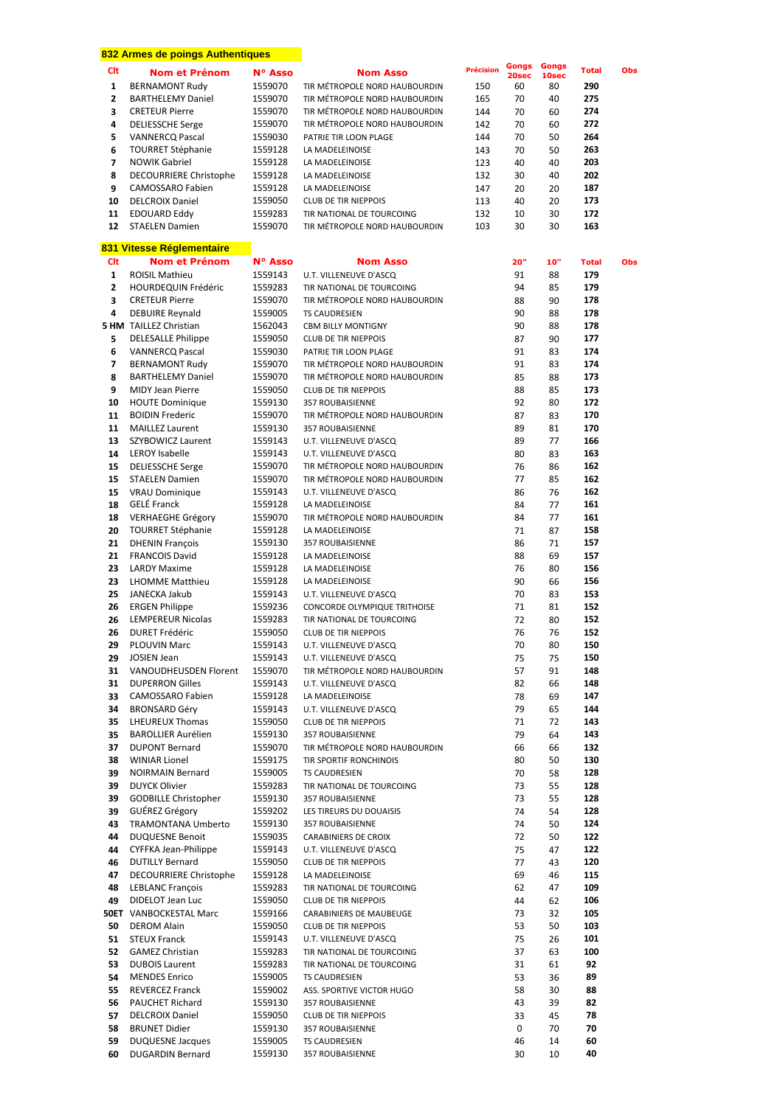|                     | 832 Armes de poings Authentiques                  |                    |                                                                |                  |                |                |                     |     |
|---------------------|---------------------------------------------------|--------------------|----------------------------------------------------------------|------------------|----------------|----------------|---------------------|-----|
| Clt                 | <b>Nom et Prénom</b>                              | N° Asso            | <b>Nom Asso</b>                                                | <b>Précision</b> | Gongs<br>20sec | Gongs<br>10sec | <b>Total</b>        | Obs |
| 1                   | <b>BERNAMONT Rudy</b>                             | 1559070            | TIR MÉTROPOLE NORD HAUBOURDIN                                  | 150              | 60             | 80             | 290                 |     |
| $\mathbf{2}$        | <b>BARTHELEMY Daniel</b>                          | 1559070            | TIR MÉTROPOLE NORD HAUBOURDIN                                  | 165              | 70             | 40             | 275                 |     |
| 3                   | <b>CRETEUR Pierre</b>                             | 1559070            | TIR MÉTROPOLE NORD HAUBOURDIN                                  | 144              | 70             | 60             | 274                 |     |
| 4<br>5              | <b>DELIESSCHE Serge</b><br><b>VANNERCQ Pascal</b> | 1559070<br>1559030 | TIR MÉTROPOLE NORD HAUBOURDIN<br>PATRIE TIR LOON PLAGE         | 142<br>144       | 70<br>70       | 60<br>50       | 272<br>264          |     |
| 6                   | <b>TOURRET Stéphanie</b>                          | 1559128            | LA MADELEINOISE                                                | 143              | 70             | 50             | 263                 |     |
| 7                   | <b>NOWIK Gabriel</b>                              | 1559128            | LA MADELEINOISE                                                | 123              | 40             | 40             | 203                 |     |
| 8                   | <b>DECOURRIERE Christophe</b>                     | 1559128            | LA MADELEINOISE                                                | 132              | 30             | 40             | 202                 |     |
| 9                   | <b>CAMOSSARO Fabien</b>                           | 1559128            | LA MADELEINOISE                                                | 147              | 20             | 20             | 187                 |     |
| 10                  | <b>DELCROIX Daniel</b>                            | 1559050            | <b>CLUB DE TIR NIEPPOIS</b>                                    | 113              | 40             | 20             | 173                 |     |
| 11<br>12            | EDOUARD Eddy<br><b>STAELEN Damien</b>             | 1559283<br>1559070 | TIR NATIONAL DE TOURCOING<br>TIR MÉTROPOLE NORD HAUBOURDIN     | 132<br>103       | 10<br>30       | 30<br>30       | 172<br>163          |     |
|                     |                                                   |                    |                                                                |                  |                |                |                     |     |
|                     | 831 Vitesse Réglementaire                         |                    |                                                                |                  |                |                |                     |     |
| Clt<br>$\mathbf{1}$ | <b>Nom et Prénom</b><br><b>ROISIL Mathieu</b>     | N° Asso<br>1559143 | <b>Nom Asso</b><br>U.T. VILLENEUVE D'ASCQ                      |                  | 20"<br>91      | 10"<br>88      | <b>Total</b><br>179 | Obs |
| $\overline{2}$      | HOURDEQUIN Frédéric                               | 1559283            | TIR NATIONAL DE TOURCOING                                      |                  | 94             | 85             | 179                 |     |
| 3                   | <b>CRETEUR Pierre</b>                             | 1559070            | TIR MÉTROPOLE NORD HAUBOURDIN                                  |                  | 88             | 90             | 178                 |     |
| 4                   | <b>DEBUIRE Reynald</b>                            | 1559005            | <b>TS CAUDRESIEN</b>                                           |                  | 90             | 88             | 178                 |     |
|                     | <b>5 HM</b> TAILLEZ Christian                     | 1562043            | <b>CBM BILLY MONTIGNY</b>                                      |                  | 90             | 88             | 178                 |     |
| 5                   | <b>DELESALLE Philippe</b>                         | 1559050            | <b>CLUB DE TIR NIEPPOIS</b>                                    |                  | 87             | 90             | 177                 |     |
| 6                   | <b>VANNERCQ Pascal</b>                            | 1559030            | PATRIE TIR LOON PLAGE                                          |                  | 91             | 83             | 174                 |     |
| 7<br>8              | <b>BERNAMONT Rudy</b><br><b>BARTHELEMY Daniel</b> | 1559070<br>1559070 | TIR MÉTROPOLE NORD HAUBOURDIN<br>TIR MÉTROPOLE NORD HAUBOURDIN |                  | 91<br>85       | 83<br>88       | 174<br>173          |     |
| 9                   | MIDY Jean Pierre                                  | 1559050            | <b>CLUB DE TIR NIEPPOIS</b>                                    |                  | 88             | 85             | 173                 |     |
| 10                  | <b>HOUTE Dominique</b>                            | 1559130            | <b>357 ROUBAISIENNE</b>                                        |                  | 92             | 80             | 172                 |     |
| 11                  | <b>BOIDIN Frederic</b>                            | 1559070            | TIR MÉTROPOLE NORD HAUBOURDIN                                  |                  | 87             | 83             | 170                 |     |
| 11                  | <b>MAILLEZ Laurent</b>                            | 1559130            | <b>357 ROUBAISIENNE</b>                                        |                  | 89             | 81             | 170                 |     |
| 13                  | SZYBOWICZ Laurent                                 | 1559143            | U.T. VILLENEUVE D'ASCQ                                         |                  | 89             | 77             | 166                 |     |
| 14                  | <b>LEROY Isabelle</b>                             | 1559143            | U.T. VILLENEUVE D'ASCQ                                         |                  | 80             | 83             | 163                 |     |
| 15<br>15            | <b>DELIESSCHE Serge</b><br><b>STAELEN Damien</b>  | 1559070<br>1559070 | TIR MÉTROPOLE NORD HAUBOURDIN<br>TIR MÉTROPOLE NORD HAUBOURDIN |                  | 76<br>77       | 86<br>85       | 162<br>162          |     |
| 15                  | <b>VRAU Dominique</b>                             | 1559143            | U.T. VILLENEUVE D'ASCQ                                         |                  | 86             | 76             | 162                 |     |
| 18                  | <b>GELÉ Franck</b>                                | 1559128            | LA MADELEINOISE                                                |                  | 84             | 77             | 161                 |     |
| 18                  | <b>VERHAEGHE Grégory</b>                          | 1559070            | TIR MÉTROPOLE NORD HAUBOURDIN                                  |                  | 84             | 77             | 161                 |     |
| 20                  | <b>TOURRET Stéphanie</b>                          | 1559128            | LA MADELEINOISE                                                |                  | 71             | 87             | 158                 |     |
| 21                  | <b>DHENIN François</b>                            | 1559130            | <b>357 ROUBAISIENNE</b>                                        |                  | 86             | 71             | 157                 |     |
| 21                  | <b>FRANCOIS David</b>                             | 1559128            | LA MADELEINOISE                                                |                  | 88             | 69             | 157                 |     |
| 23<br>23            | <b>LARDY Maxime</b><br><b>LHOMME Matthieu</b>     | 1559128<br>1559128 | LA MADELEINOISE<br>LA MADELEINOISE                             |                  | 76<br>90       | 80<br>66       | 156<br>156          |     |
| 25                  | JANECKA Jakub                                     | 1559143            | U.T. VILLENEUVE D'ASCQ                                         |                  | 70             | 83             | 153                 |     |
| 26                  | <b>ERGEN Philippe</b>                             | 1559236            | CONCORDE OLYMPIQUE TRITHOISE                                   |                  | 71             | 81             | 152                 |     |
| 26                  | LEMPEREUR Nicolas                                 | 1559283            | TIR NATIONAL DE TOURCOING                                      |                  | 72             | 80             | 152                 |     |
| 26                  | <b>DURET Frédéric</b>                             | 1559050            | <b>CLUB DE TIR NIEPPOIS</b>                                    |                  | 76             | 76             | 152                 |     |
| 29                  | <b>PLOUVIN Marc</b>                               | 1559143            | U.T. VILLENEUVE D'ASCQ                                         |                  | 70             | 80             | 150                 |     |
| 29<br>31            | <b>JOSIEN Jean</b><br>VANOUDHEUSDEN Florent       | 1559143<br>1559070 | U.T. VILLENEUVE D'ASCQ<br>TIR MÉTROPOLE NORD HAUBOURDIN        |                  | 75<br>57       | 75<br>91       | 150<br>148          |     |
| 31                  | <b>DUPERRON Gilles</b>                            | 1559143            | U.T. VILLENEUVE D'ASCQ                                         |                  | 82             | 66             | 148                 |     |
| 33                  | CAMOSSARO Fabien                                  | 1559128            | LA MADELEINOISE                                                |                  | 78             | 69             | 147                 |     |
| 34                  | <b>BRONSARD Géry</b>                              | 1559143            | U.T. VILLENEUVE D'ASCQ                                         |                  | 79             | 65             | 144                 |     |
| 35                  | LHEUREUX Thomas                                   | 1559050            | <b>CLUB DE TIR NIEPPOIS</b>                                    |                  | 71             | 72             | 143                 |     |
| 35                  | <b>BAROLLIER Aurélien</b>                         | 1559130            | 357 ROUBAISIENNE                                               |                  | 79             | 64             | 143                 |     |
| 37<br>38            | <b>DUPONT Bernard</b><br><b>WINIAR Lionel</b>     | 1559070<br>1559175 | TIR MÉTROPOLE NORD HAUBOURDIN<br>TIR SPORTIF RONCHINOIS        |                  | 66<br>80       | 66<br>50       | 132<br>130          |     |
| 39                  | <b>NOIRMAIN Bernard</b>                           | 1559005            | <b>TS CAUDRESIEN</b>                                           |                  | 70             | 58             | 128                 |     |
| 39                  | <b>DUYCK Olivier</b>                              | 1559283            | TIR NATIONAL DE TOURCOING                                      |                  | 73             | 55             | 128                 |     |
| 39                  | <b>GODBILLE Christopher</b>                       | 1559130            | 357 ROUBAISIENNE                                               |                  | 73             | 55             | 128                 |     |
| 39                  | GUÉREZ Grégory                                    | 1559202            | LES TIREURS DU DOUAISIS                                        |                  | 74             | 54             | 128                 |     |
| 43                  | TRAMONTANA Umberto                                | 1559130            | 357 ROUBAISIENNE                                               |                  | 74             | 50             | 124                 |     |
| 44<br>44            | <b>DUQUESNE Benoit</b><br>CYFFKA Jean-Philippe    | 1559035<br>1559143 | <b>CARABINIERS DE CROIX</b><br>U.T. VILLENEUVE D'ASCQ          |                  | 72<br>75       | 50<br>47       | 122<br>122          |     |
| 46                  | <b>DUTILLY Bernard</b>                            | 1559050            | <b>CLUB DE TIR NIEPPOIS</b>                                    |                  | 77             | 43             | 120                 |     |
| 47                  | DECOURRIERE Christophe                            | 1559128            | LA MADELEINOISE                                                |                  | 69             | 46             | 115                 |     |
| 48                  | <b>LEBLANC François</b>                           | 1559283            | TIR NATIONAL DE TOURCOING                                      |                  | 62             | 47             | 109                 |     |
| 49                  | DIDELOT Jean Luc                                  | 1559050            | <b>CLUB DE TIR NIEPPOIS</b>                                    |                  | 44             | 62             | 106                 |     |
|                     | <b>50ET</b> VANBOCKESTAL Marc                     | 1559166            | CARABINIERS DE MAUBEUGE                                        |                  | 73             | 32             | 105                 |     |
| 50<br>51            | <b>DEROM Alain</b><br><b>STEUX Franck</b>         | 1559050<br>1559143 | <b>CLUB DE TIR NIEPPOIS</b><br>U.T. VILLENEUVE D'ASCQ          |                  | 53<br>75       | 50<br>26       | 103<br>101          |     |
| 52                  | <b>GAMEZ Christian</b>                            | 1559283            | TIR NATIONAL DE TOURCOING                                      |                  | 37             | 63             | 100                 |     |
| 53                  | <b>DUBOIS Laurent</b>                             | 1559283            | TIR NATIONAL DE TOURCOING                                      |                  | 31             | 61             | 92                  |     |
| 54                  | <b>MENDES Enrico</b>                              | 1559005            | <b>TS CAUDRESIEN</b>                                           |                  | 53             | 36             | 89                  |     |
| 55                  | <b>REVERCEZ Franck</b>                            | 1559002            | ASS. SPORTIVE VICTOR HUGO                                      |                  | 58             | 30             | 88                  |     |
| 56                  | PAUCHET Richard                                   | 1559130            | 357 ROUBAISIENNE                                               |                  | 43             | 39             | 82                  |     |
| 57                  | <b>DELCROIX Daniel</b>                            | 1559050            | <b>CLUB DE TIR NIEPPOIS</b>                                    |                  | 33             | 45             | 78                  |     |
| 58<br>59            | <b>BRUNET Didier</b><br><b>DUQUESNE Jacques</b>   | 1559130<br>1559005 | 357 ROUBAISIENNE<br>TS CAUDRESIEN                              |                  | 0<br>46        | 70<br>14       | 70<br>60            |     |
| 60                  | <b>DUGARDIN Bernard</b>                           | 1559130            | 357 ROUBAISIENNE                                               |                  | 30             | 10             | 40                  |     |